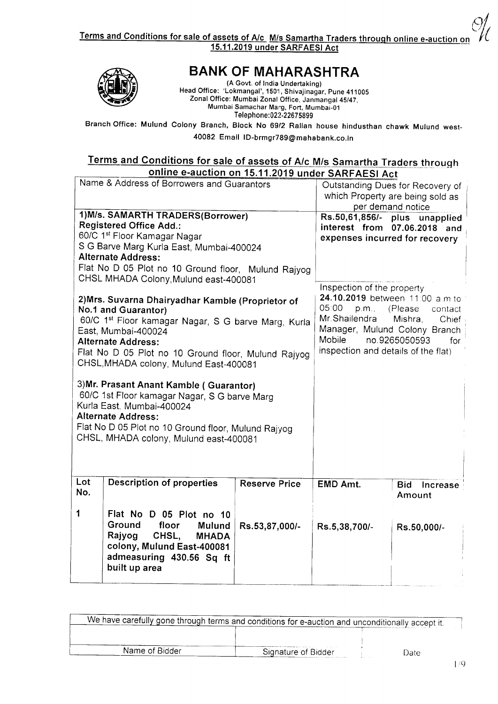(M Terms and Conditions for sale of assets of A/c M/s Samartha Traders through online e-auction on 15.11.2019 under SARFAESI Act



## BANK OF MAHARASHTRA

(A Govt. of India Undertaking) Head Office: 'Lokmangal', 1501, Shivajinagar, Pune 411005 Zonal Office: Mumbai Zonal Office, Janrnangal 45/47, Mumbai Samachar Marg, Fort, Mumbai-01 Telephone: 022-22675899

Branch Office: Mulund Colony Branch, Block No 69/2 Ralian house hindusthan chawk Mulund west 40082 Email ID-brmgr789@mahabank.co.in

#### Terms and Conditions for sale of assets of A/c M/s Samartha Traders through online e-auction on 15.11.2019 under SARFAEST Act

|                                                     | <u>Unities addition for the video drivers Activities</u> |                               |                                     |                                  |
|-----------------------------------------------------|----------------------------------------------------------|-------------------------------|-------------------------------------|----------------------------------|
|                                                     | Name & Address of Borrowers and Guarantors               |                               |                                     | Outstanding Dues for Recovery of |
|                                                     |                                                          |                               |                                     | which Property are being sold as |
|                                                     |                                                          |                               | per demand notice                   |                                  |
|                                                     | 1) M/s. SAMARTH TRADERS(Borrower)                        |                               |                                     | Rs.50,61,856/- plus unapplied    |
|                                                     | <b>Registered Office Add.:</b>                           |                               |                                     | interest from 07.06.2018 and     |
|                                                     | 60/C 1st Floor Kamagar Nagar                             |                               | expenses incurred for recovery      |                                  |
|                                                     | S G Barve Marg Kurla East, Mumbai-400024                 |                               |                                     |                                  |
|                                                     | <b>Alternate Address:</b>                                |                               |                                     |                                  |
|                                                     |                                                          |                               |                                     |                                  |
|                                                     | Flat No D 05 Plot no 10 Ground floor, Mulund Rajyog      |                               |                                     |                                  |
|                                                     | CHSL MHADA Colony, Mulund east-400081                    |                               | Inspection of the property:         |                                  |
|                                                     |                                                          |                               |                                     |                                  |
|                                                     | 2) Mrs. Suvarna Dhairyadhar Kamble (Proprietor of        |                               | 24.10.2019 between 11:00 a.m to     |                                  |
| No.1 and Guarantor)                                 |                                                          | 05:00<br>p.m.,                | (Please<br>contact                  |                                  |
| 60/C 1st Floor kamagar Nagar, S G barve Marg, Kurla |                                                          | Mr. Shailendra                | Mishra,<br>Chief                    |                                  |
| East, Mumbai-400024                                 |                                                          | Manager, Mulund Colony Branch |                                     |                                  |
|                                                     | <b>Alternate Address:</b>                                |                               | Mobile                              | no.9265050593<br>for             |
|                                                     | Flat No D 05 Plot no 10 Ground floor, Mulund Rajyog      |                               | inspection and details of the flat) |                                  |
|                                                     | CHSL, MHADA colony, Mulund East-400081                   |                               |                                     |                                  |
|                                                     |                                                          |                               |                                     |                                  |
|                                                     | 3) Mr. Prasant Anant Kamble (Guarantor)                  |                               |                                     |                                  |
|                                                     | 60/C 1st Floor kamagar Nagar, S G barve Marg             |                               |                                     |                                  |
|                                                     | Kurla East, Mumbai-400024                                |                               |                                     |                                  |
|                                                     | <b>Alternate Address:</b>                                |                               |                                     |                                  |
|                                                     | Flat No D 05 Plot no 10 Ground floor, Mulund Rajyog      |                               |                                     |                                  |
|                                                     |                                                          |                               |                                     |                                  |
| CHSL, MHADA colony, Mulund east-400081              |                                                          |                               |                                     |                                  |
|                                                     |                                                          |                               |                                     |                                  |
|                                                     |                                                          |                               |                                     |                                  |
|                                                     |                                                          |                               |                                     |                                  |
| Lot                                                 | <b>Description of properties</b>                         | <b>Reserve Price</b>          | <b>EMD Amt.</b>                     | <b>Bid</b><br>Increase           |
| No.                                                 |                                                          |                               |                                     | Amount                           |
|                                                     |                                                          |                               |                                     |                                  |
| $\mathbf 1$                                         | Flat No D 05 Plot no 10                                  |                               |                                     |                                  |
|                                                     | Ground<br>floor                                          |                               |                                     |                                  |
|                                                     |                                                          |                               |                                     |                                  |
|                                                     | Mulund                                                   | Rs.53,87,000/-                | Rs.5,38,700/-                       | Rs.50,000/-                      |
|                                                     | Rajyog<br>CHSL,<br><b>MHADA</b>                          |                               |                                     |                                  |
|                                                     | colony, Mulund East-400081                               |                               |                                     |                                  |
|                                                     | admeasuring 430.56 Sq ft                                 |                               |                                     |                                  |
|                                                     | built up area                                            |                               |                                     |                                  |

| We have carefully gone through terms and conditions for e-auction and unconditionally accept it. |                     |      |  |
|--------------------------------------------------------------------------------------------------|---------------------|------|--|
|                                                                                                  |                     |      |  |
| Name of Bidder                                                                                   | Signature of Bidder | Date |  |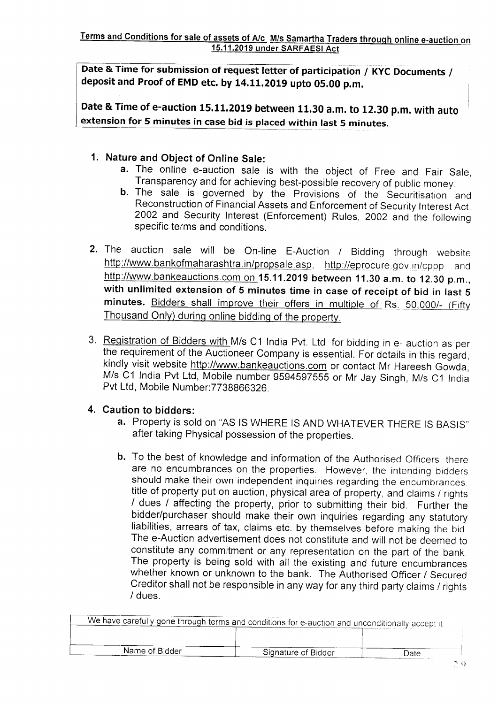Date & Time for submission of request letter of participation / KYC Documents / deposit and Proof of EMD etc. by 14.11.2019 upto 05.00 p.m.

Date & Time of e-auction 15.11.2019 between 11.30 a.m. to 12.30 p.m. with auto extension for 5 minutes in case bid is placed within last 5 minutes.

#### 1. Nature and Object of Online Sale:

- a. The online e-auction sale is with the object of Free and Fair Sale,<br>Transparency and for achieving best-possible recovery of public money.
- b. The sale is governed by the Provisions of the Securitisation and Reconstruction of Financial Assets and Enforcement of Security Interest Act, 2002 and Security Interest (Enforcement) Rules, 2OO2 and the followinq specific terms and conditions.
- 2. The auction sale will be On-line E-Auction / Bidding through website http://www.bankofmaharashtra.in/propsale.asp, http://eprocure.gov.in/cppp and http://www.bankeauctions.com on 15.11.2019 between 11.30 a.m. to 12.30 p.m., with unlimited extension of 5 minutes time in case of receipt of bid in last 5 minutes. Bidders shall improve their offers in multiple of Rs. 50,000/- (Fifty Thousand Only) during online bidding of the property.
- 3. <u>Registration of Bidders with </u>M/s C1 India Pvt. Ltd. for bidding in e- auction as per the requirement of the Auctioneer Company is essential. For details in this regard, kindly visit website http://www.bankeauctions.com or contact Mr Hareesh Gowda, M/s C1 lndia Pvt Ltd, Mobile number 9594597555 or Mr Jay Singh, M/s C1 India Pvt Ltd, Mobile Number: 7738866326.

### Caution to bidders: 4.

- a. Property is sold on "AS IS WHERE IS AND WHATEVER THERE IS BASIS" after taking Physical possession of the properties.
- b. To the best of knowledge and information of the Authorised Officers, there are no encumbrances on the properties. However, the intending bidders should make their own independent inquiries regarding the encumbrances.<br>title of property put on auction, physical area of property, and claims / rights I dues I affecting the property, prior to submitting their bid. Further the bidder/purchaser should make their own inquiries regarding any statutory liabilities, arrears of tax, claims etc. by themselves before making the bid The e-Auction advertisement does not constitute and will not be deemed to constitute any commitment or any representation on the part of the bank. The property is being sold with all the existing and future encumbrances whether known or unknown to the bank. The Authorised Officer / Secured Creditor shall not be responsible in any way for any third party claims / rights / dues.

| We have carefully gone through terms and conditions for e-auction and unconditionally accept it. |                     |       |
|--------------------------------------------------------------------------------------------------|---------------------|-------|
|                                                                                                  |                     |       |
| Name of Bidder                                                                                   | Signature of Bidder | Date: |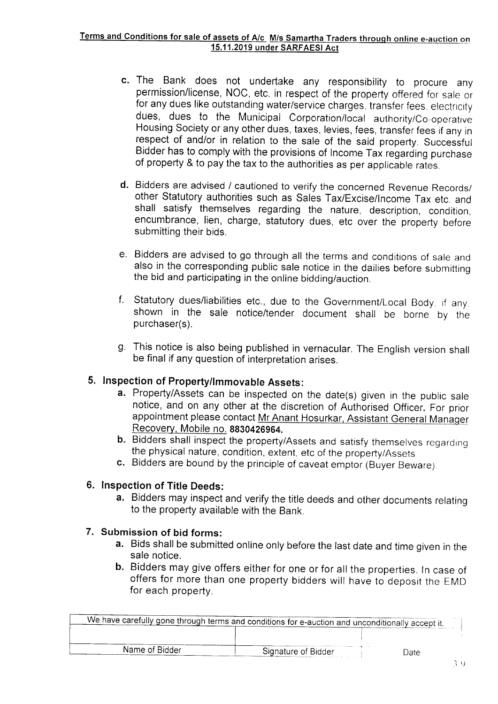- c. The Bank does not undertake any responsibility to procure any permission/license, NOC, etc. in respect of the property offered for sale or for any dues like outstanding water/service charges, transfer fees, electricity dues, dues to the Municipal Corporation/local authority/Co-operative Housing Society or any other dues, taxes, levies, fees, transfer fees if any in respect of and/or in relation to the sale of the said property. Successful Bidder has to comply with the provisions of Income Tax regarding purchase of property & to pay the tax to the authorities as per applicable rates.
- d. Bidders are advised / cautioned to verify the concerned Revenue Records/<br>other Statutory authorities such as Sales Tax/Excise/Income Tax etc. and shall satisfy themselves regarding the nature, description, condition, encumbrance, lien, charge, statutory dues, etc over the property before submitting their bids.
- e. Bidders are advised to go through all the terms and conditions of sale and also in the corresponding public sale notice in the dailies before submitting the bid and participating in the online bidding/auction.
- f. Statutory dues/liabilities etc., due to the Government/Local Body, if any, shown in the sale notice/tender document shall be borne by the purchaser(s).
- g. This notice is also being published in vernacular. The English version shall be final if any question of interpretation arises.

#### 5. Inspection of Property/Immovable Assets:

- **a.** Property/Assets can be inspected on the date(s) given in the public sale notice, and on any other at the discretion of Authorised Officer. For prior appointment please contact Mr Anant Hosurkar, Assistant General Manager Recovery, Mobile no. 8830426964.
- b. Bidders shall inspect the property/Assets and satisfy themselves regarding the physical nature, condition, extent, etc of the property/Assets
- c. Bidders are bound by the principle of caveat emptor (Buyer Beware).

#### 6. Inspection of Title Deeds:

a. Bidders may inspect and verify the title deeds and other documents relatinq to the property available with the Bank.

#### 7. Submission of bid forms:

- a. Bids shall be submitted online only before the last date and time given in the sale notice.
- b. Bidders may give offers either for one or for all the properties. In case of offers for more than one property bidders will have to deposit the EMD for each property.

|                | We have carefully gone through terms and conditions for e-auction and unconditionally accept it. |       |
|----------------|--------------------------------------------------------------------------------------------------|-------|
|                |                                                                                                  |       |
| Name of Bidder | Signature of Bidder                                                                              | Date: |
|                |                                                                                                  |       |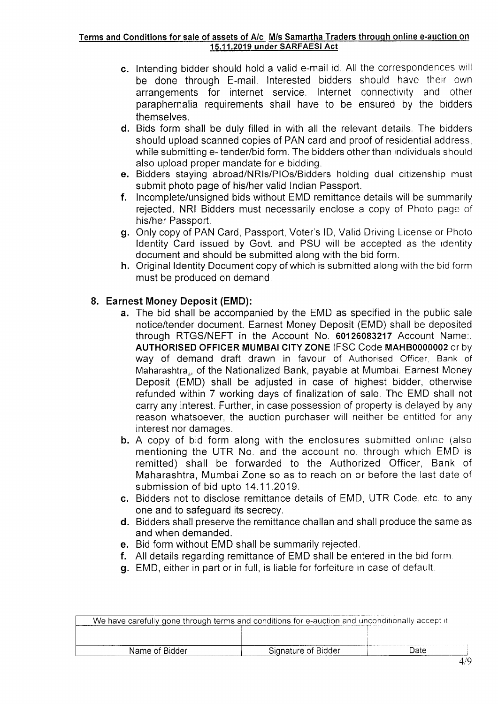#### Terms and Conditions for sale of assets of A/c M/s Samartha Traders through online e-auction on 15.11.2019 under SARFAESI Act

- c. Intending bidder should hold a valid e-mail id. All the correspondences will be done through E-mail. Interested bidders should have their own arrangements for internet service. Internet connectivity and other paraphernalia requirements shall have to be ensured by the bidders themselves.
- d. Bids form shall be duly filled in with all the relevant details. The bidders should upload scanned copies of PAN card and proof of residential address, while submitting e- tender/bid form. The bidders other than individuals should also upload proper mandate for e bidding.
- e. Bidders staying abroad/NRls/PlOs/Bidders holding dual citizenship must submit photo page of his/her valid Indian Passport.<br>**f.** Incomplete/unsigned bids without EMD remittance details will be summarily
- rejected. NRI Bidders must necessarily enclose a copy of Photo page of his/her Passporl.
- g. Only copy of PAN Card, Passport, Voter's lD, Valid Driving License or Photo ldentity Card issued by Govt. and PSU will be accepted as the rdentity document and should be submitted along with the bid form.
- h. Original ldentity Document copy of which is submitted along with the bid form must be produced on demand.

#### 8. Earnest Money Deposit (EMD):

- a. The bid shall be accompanied by the EMD as specified in the public sale notice/tender document. Earnest Money Deposit (EMD) shall be deposited through RTGS/NEFT in the Account No. 60126083217 Account Name.. AUTHORISED OFFICER MUMBAI CITY ZONE IFSC Code MAH80000002 or by way of demand draft drawn in favour of Authorised Officer, Bank of Maharashtra., of the Nationalized Bank, payable at Mumbai. Earnest Money Deposit (EMD) shall be adjusted in case of highest bidder, othenvise refunded within 7 working days of finalization of sale. The EMD shall not catry any interest. Further, in case possession of property is delayed by any reason whatsoever, the auction purchaser will neither be entitled for any interest nor damages.
- b. A copy of bid form along with the enclosures submitted online (also mentioning the UTR No. and the account no. through which EMD is remitted) shall be forwarded to the Authorized Officer, Bank of Maharashtra, Mumbai Zone so as to reach on or before the last date of submission of bid upto 14.11.2019.
- c. Bidders not to disclose remittance details of EMD, UTR Code, etc to any one and to safeguard its secrecy.
- d. Bidders shall preserve the remittance challan and shall produce the same as and when demanded.
- e. Bid form without EMD shall be summarily rejected.
- f. All details regarding remittance of EMD shall be entered in the bid form
- g. EMD, either in part or in full, is liable for forfeiture in case of default.

|                                               | We have carefully gone through terms and conditions for e-auction and unconditionally accept it. |  |  |  |
|-----------------------------------------------|--------------------------------------------------------------------------------------------------|--|--|--|
|                                               |                                                                                                  |  |  |  |
|                                               |                                                                                                  |  |  |  |
| ⊃ate<br>Name of Bidder<br>Signature of Bidder |                                                                                                  |  |  |  |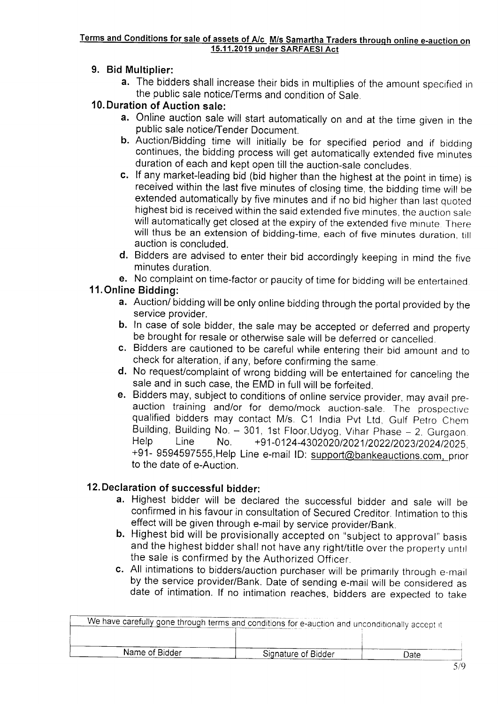# <u>Terms and Conditions for sale of assets of A/c M/s Samartha Traders through online e-auction on</u><br>15.11.2019 under SARFAESI Act

#### 9. Bid Multiplier:

a. The bidders shall increase their bids in multiplies of the amount specified in the public sale notice/Terms and condition of Sale

#### l0.Duration of Auction sale:

- a. Online auction sale will start automatically on and at the time given in the public sale notice/Tender Document.
- b. Auction/Bidding time will initially be for specified period and if bidding continues, the bidding process will get automatically extended five minutes duration of each and kept open till the auction-sale concludes.
- c. lf any market-leading bid (bid higher than the highest at the point in time) is received within the last five minutes of closing time, the bidding time will be extended automatically by five minutes and if no bid higher than last quoted highest bid is received within the said extended five minutes, the auction sale will automatically get closed at the expiry of the extended five minute. There will thus be an extension of bidding-time, each of five minutes duration, till auction is concluded.
- d. Bidders are advised to enter their bid accordingly keeping in mind the five minutes duration.
- e. No complaint on time-factor or paucity of time for bidding will be entertained

#### 11.Online Bidding:

- a. Auction/ bidding will be only online bidding through the portal provided by the service provider.
- b. In case of sole bidder, the sale may be accepted or deferred and property be brought for resale or otherwise sale will be deferred or cancelled.
- c. Bidders are cautioned to be careful while entering their bid amount and to check for alteration, if any, before confirming the same.
- d. No request/complaint of wrong bidding will be entertained for canceling the sale and in such case, the EMD in full will be forfeited.
- e. Bidders may, subject to conditions of online service provider, may avail preauction training and/or for demo/mock auction-sale. The prospective qualified bidders may contact M/s. C1 India Pvt Ltd, Gulf Petro Chem Building, Building No. - 301, 1st Floor,Udyog, Vihar Phase - 2. Gurgaon.<br>Help Line No. +91-0124-4302020/2021/2022/2023/2024/2025. +91- 9594597555, Help Line e-mail ID: support@bankeauctions.com, prior to the date of e-Auction.

#### 12. Declaration of successful bidder:

- a. Highest bidder will be declared the successful bidder and sale will be confirmed in his favour in consultation of Secured Creditor. Intimation to this effect will be given through e-mail by service provider/Bank.
- b. Highest bid will be provisionally accepted on "subject to approval" basis and the highest bidder shall not have any right/title over the property until the sale is confirmed by the Authorized Officer
- c. All intimations to bidders/auction purchaser will be primarily through e-mail by the service provider/Bank. Date of sending e-mail will be considered as date of intimation. lf no intimation reaches, bidders are expected to take

| We have carefully gone through terms and conditions for e-auction and unconditionally accept it |                     |      |
|-------------------------------------------------------------------------------------------------|---------------------|------|
|                                                                                                 |                     |      |
|                                                                                                 |                     |      |
| Name of Bidder                                                                                  | Signature of Bidder | Date |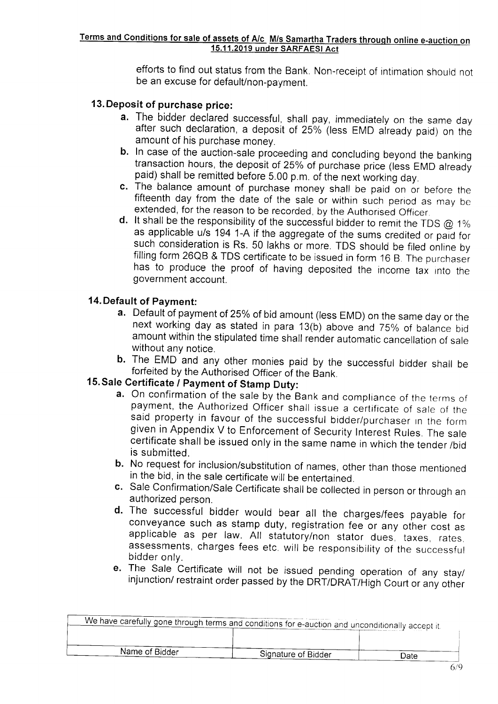efforts to find out status from the Bank. Non-receipt of intimation should not be an excuse for default/non-payment.

- 13. Deposit of purchase price:<br>**a.** The bidder declared successful, shall pay, immediately on the same day after such declaration, a deposit of 25% (less EMD already paid) on the amount of his purchase money.
	- b. In case of the auction-sale proceeding and concluding beyond the banking transaction hours, the deposit of 25% of purchase price (less EMD already paid) shall be remitted before 5.00 p.m. of the next working day.
	- **c.** The balance amount of purchase money shall be paid on or before the fifteenth day from the date of the sale or within such period as may be extended, for the reason to be recorded, by the Authorised Officer.
	- **d.** It shall be the responsibility of the successful bidder to remit the TDS  $@$  1% as applicable u/s 194 1-A if the aggregate of the sums credited or paid for such consideration is Rs. 50 lakhs or more. TDS should be filed online by filling form 26QB & TDS certificate to be issued in form 16 B. The purchaser has to produce the proof of having deposited the income tax into the government account.

#### 14. Default of Payment:

- a. Default of payment of 25% of bid amount (less EMD) on the same day or the next working day as stated in para 13(b) above and 75% of balance bid amount within the stipulated time shall render automatic cancellation of sale without any notice.
- **b.** The EMD and any other monies paid by the successful bidder shall be forfeited by the Authorised Officer of the Bank.

- 15. Sale Certificate / Payment of Stamp Duty:<br>a. On confirmation of the sale by the Bank and compliance of the terms of payment, the Authorized Officer shall issue a certificate of sale of the said property in favour of the successful bidder/purchaser in the form given in Appendix V to Enforcement of Security Interest Rules. The sale certif
	- b. No request for inclusion/substitution of names, other than those mentioned in the bid, in the sale certificate will be entertained.
	- c. Sale Confirmation/Sale Certificate shall be collected in person or through an authorized person.
	- d. The successful bidder would bear all the charges/fees payable for conveyance such as stamp duty, registration fee or any other cost as applicable as per law. All statutory/non stator dues, taxes, rates. assessments, charges fees etc. will be responsibility of the successful bidder only.
	- e. The Sale Certificate will not be issued pending operation of any stay/<br>injunction/ restraint order passed by the DRT/DRAT/High Court or any other

| $\_$ $\overline{\mathsf{We}}$ have carefully gone through terms and conditions for e-auction and unconditionally accept it. |                     |      |
|-----------------------------------------------------------------------------------------------------------------------------|---------------------|------|
|                                                                                                                             |                     |      |
| Name of Bidder                                                                                                              | Signature of Bidder | Date |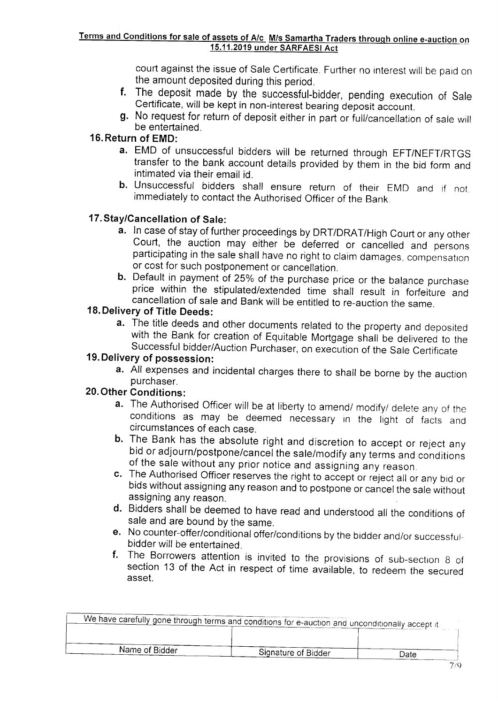#### Terms and Conditions for sale of assets of A/c M/s Samartha Traders through online e-auction on 15.11.2019 under SARFAESI Act

court against the issue of Sale Certificate. Further no interest will be paid on the amount deposited during this period.

- f. The deposit made by the successful-bidder, pending execution of Sale Certificate, will be kept in non-interest bearing deposit account.
- g. No request for return of deposit either in part or full/cancellation of sale will be entertained.

### 16. Return of EMD:

- a. EMD of unsuccessful bidders will be returned through EFT/NEFT/RTGS transfer to the bank account details provided by them in the bid form and intimated via their email id.
- b. Unsuccessful bidders shall ensure return of their EMD and if not. immediately to contact the Authorised Officer of the Bank.

#### <sup>1</sup>7. Stay/Cancellation of Sale:

- **a.** In case of stay of further proceedings by DRT/DRAT/High Court or any other Court, the auction may either be deferred or cancelled and persons participating in the sale shall have no right to claim damages, compensation or cost for such postponement or cancellation.
- **b.** Default in payment of 25% of the purchase price or the balance purchase price within the stipulated/extended time shall result in forfeiture and cancellation of sale and Bank will be entitled to re-auction the same.

### 18. Delivery of Tifle Deeds:

a. The title deeds and other documents related to the property and deposited with the Bank for creation of Equitable Mortgage shall be delivered to the Successful bidder/Auction Purchaser, on execution of the Sale Certificate

### 19. Delivery of possession:

a. All expenses and incidental charges there to shall be borne by the auction purchaser.

- 20. Other Conditions:<br>**a.** The Authorised Officer will be at liberty to amend/ modify/ delete any of the
	-
	- conditions as may be deemed necessary in the light of facts and<br>circumstances of each case.<br> **b.** The Bank has the absolute right and discretion to accept or reject any<br>
	bid or adjourn/postpone/cancel the sale/modify any t
	-
	-
	- f. The Borrowers attention is invited to the provisions of sub-section 8 of section 13 of the Act in respect of time available, to redeem the secured asset.

| We have carefully gone through terms and conditions for e-auction and unconditionally accept it. |                     |      |
|--------------------------------------------------------------------------------------------------|---------------------|------|
|                                                                                                  |                     |      |
| Name of Bidder                                                                                   | Signature of Bidder | Date |